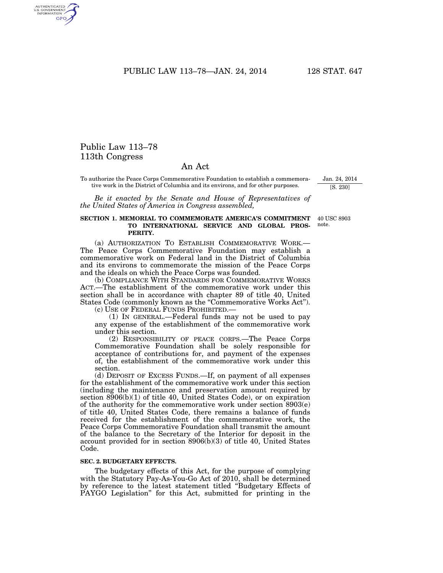PUBLIC LAW 113-78-JAN. 24, 2014 128 STAT. 647

## Public Law 113–78 113th Congress

AUTHENTICATED<br>U.S. GOVERNMENT<br>INFORMATION GPO

## An Act

To authorize the Peace Corps Commemorative Foundation to establish a commemorative work in the District of Columbia and its environs, and for other purposes.

*Be it enacted by the Senate and House of Representatives of the United States of America in Congress assembled,* 

## **SECTION 1. MEMORIAL TO COMMEMORATE AMERICA'S COMMITMENT TO INTERNATIONAL SERVICE AND GLOBAL PROS-PERITY.**

(a) AUTHORIZATION TO ESTABLISH COMMEMORATIVE WORK.— The Peace Corps Commemorative Foundation may establish a commemorative work on Federal land in the District of Columbia and its environs to commemorate the mission of the Peace Corps and the ideals on which the Peace Corps was founded.

(b) COMPLIANCE WITH STANDARDS FOR COMMEMORATIVE WORKS ACT.—The establishment of the commemorative work under this section shall be in accordance with chapter 89 of title 40, United States Code (commonly known as the "Commemorative Works Act").

(c) USE OF FEDERAL FUNDS PROHIBITED.—

(1) IN GENERAL.—Federal funds may not be used to pay any expense of the establishment of the commemorative work under this section.

(2) RESPONSIBILITY OF PEACE CORPS.—The Peace Corps Commemorative Foundation shall be solely responsible for acceptance of contributions for, and payment of the expenses of, the establishment of the commemorative work under this section.

(d) DEPOSIT OF EXCESS FUNDS.—If, on payment of all expenses for the establishment of the commemorative work under this section (including the maintenance and preservation amount required by section 8906(b)(1) of title 40, United States Code), or on expiration of the authority for the commemorative work under section 8903(e) of title 40, United States Code, there remains a balance of funds received for the establishment of the commemorative work, the Peace Corps Commemorative Foundation shall transmit the amount of the balance to the Secretary of the Interior for deposit in the account provided for in section 8906(b)(3) of title 40, United States Code.

## **SEC. 2. BUDGETARY EFFECTS.**

The budgetary effects of this Act, for the purpose of complying with the Statutory Pay-As-You-Go Act of 2010, shall be determined by reference to the latest statement titled ''Budgetary Effects of PAYGO Legislation'' for this Act, submitted for printing in the

40 USC 8903 note.

Jan. 24, 2014 [S. 230]